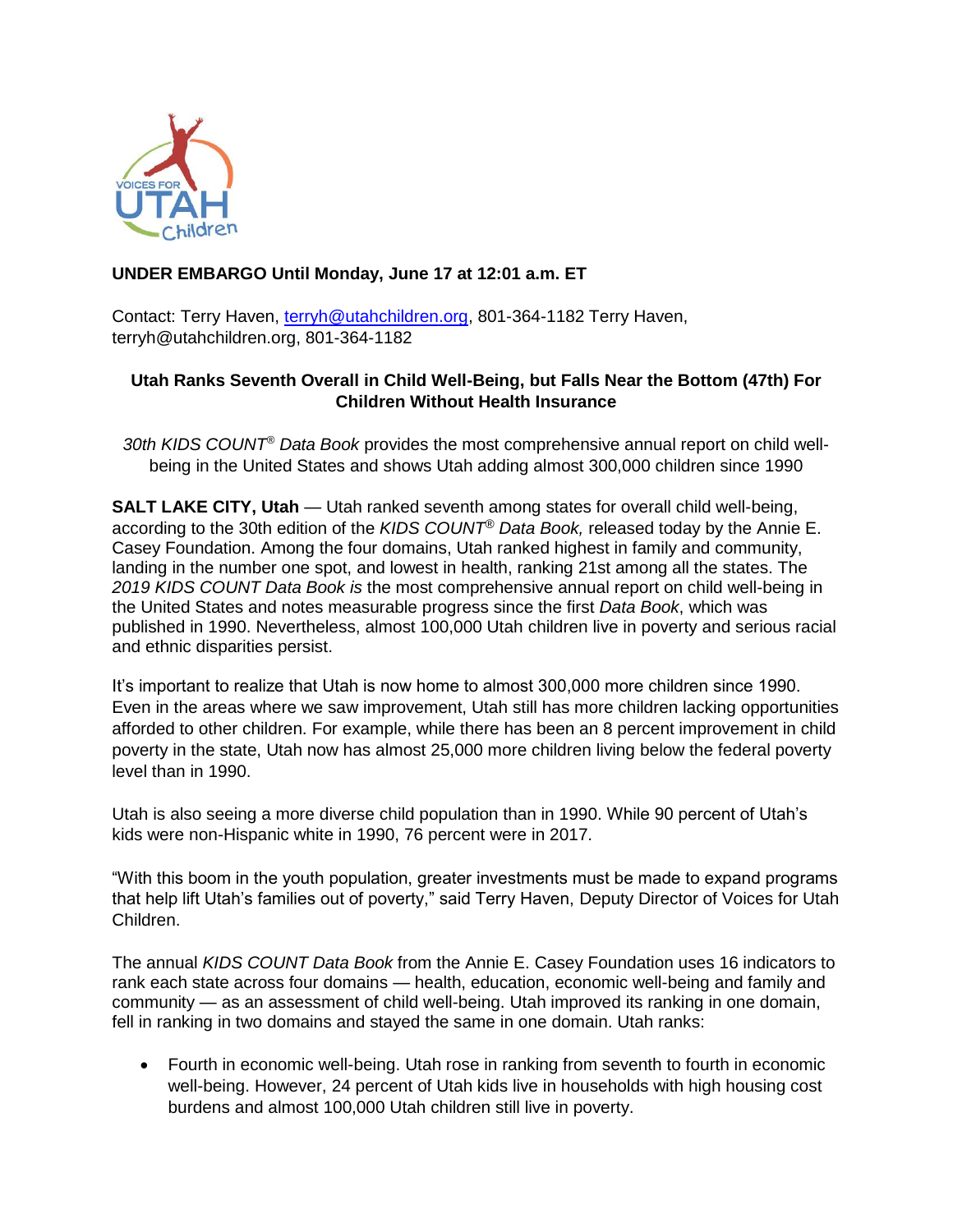

# **UNDER EMBARGO Until Monday, June 17 at 12:01 a.m. ET**

Contact: Terry Haven, [terryh@utahchildren.org,](mailto:terryh@utahchildren.org) 801-364-1182 Terry Haven, [terryh@utahchildren.org,](mailto:terryh@utahchildren.org) 801-364-1182

# **Utah Ranks Seventh Overall in Child Well-Being, but Falls Near the Bottom (47th) For Children Without Health Insurance**

*30th KIDS COUNT® Data Book* provides the most comprehensive annual report on child wellbeing in the United States and shows Utah adding almost 300,000 children since 1990

**SALT LAKE CITY, Utah** — Utah ranked seventh among states for overall child well-being, according to the 30th edition of the *KIDS COUNT® Data Book,* released today by the Annie E. Casey Foundation. Among the four domains, Utah ranked highest in family and community, landing in the number one spot, and lowest in health, ranking 21st among all the states. The *2019 KIDS COUNT Data Book is* the most comprehensive annual report on child well-being in the United States and notes measurable progress since the first *Data Book*, which was published in 1990. Nevertheless, almost 100,000 Utah children live in poverty and serious racial and ethnic disparities persist.

It's important to realize that Utah is now home to almost 300,000 more children since 1990. Even in the areas where we saw improvement, Utah still has more children lacking opportunities afforded to other children. For example, while there has been an 8 percent improvement in child poverty in the state, Utah now has almost 25,000 more children living below the federal poverty level than in 1990.

Utah is also seeing a more diverse child population than in 1990. While 90 percent of Utah's kids were non-Hispanic white in 1990, 76 percent were in 2017.

"With this boom in the youth population, greater investments must be made to expand programs that help lift Utah's families out of poverty," said Terry Haven, Deputy Director of Voices for Utah Children.

The annual *KIDS COUNT Data Book* from the Annie E. Casey Foundation uses 16 indicators to rank each state across four domains — health, education, economic well-being and family and community — as an assessment of child well-being. Utah improved its ranking in one domain, fell in ranking in two domains and stayed the same in one domain. Utah ranks:

• Fourth in economic well-being. Utah rose in ranking from seventh to fourth in economic well-being. However, 24 percent of Utah kids live in households with high housing cost burdens and almost 100,000 Utah children still live in poverty.